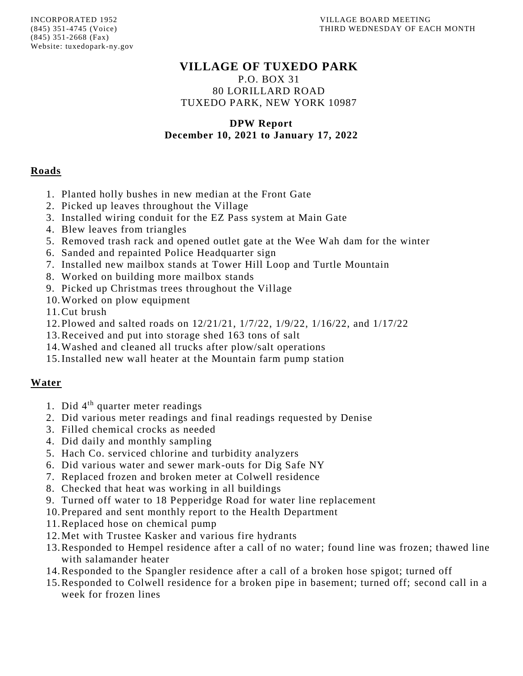## **VILLAGE OF TUXEDO PARK**

P.O. BOX 31 80 LORILLARD ROAD TUXEDO PARK, NEW YORK 10987

## **DPW Report December 10, 2021 to January 17, 2022**

## **Roads**

- 1. Planted holly bushes in new median at the Front Gate
- 2. Picked up leaves throughout the Village
- 3. Installed wiring conduit for the EZ Pass system at Main Gate
- 4. Blew leaves from triangles
- 5. Removed trash rack and opened outlet gate at the Wee Wah dam for the winter
- 6. Sanded and repainted Police Headquarter sign
- 7. Installed new mailbox stands at Tower Hill Loop and Turtle Mountain
- 8. Worked on building more mailbox stands
- 9. Picked up Christmas trees throughout the Village
- 10.Worked on plow equipment
- 11.Cut brush
- 12.Plowed and salted roads on 12/21/21, 1/7/22, 1/9/22, 1/16/22, and 1/17/22
- 13.Received and put into storage shed 163 tons of salt
- 14.Washed and cleaned all trucks after plow/salt operations
- 15.Installed new wall heater at the Mountain farm pump station

## **Water**

- 1. Did 4<sup>th</sup> quarter meter readings
- 2. Did various meter readings and final readings requested by Denise
- 3. Filled chemical crocks as needed
- 4. Did daily and monthly sampling
- 5. Hach Co. serviced chlorine and turbidity analyzers
- 6. Did various water and sewer mark-outs for Dig Safe NY
- 7. Replaced frozen and broken meter at Colwell residence
- 8. Checked that heat was working in all buildings
- 9. Turned off water to 18 Pepperidge Road for water line replacement
- 10.Prepared and sent monthly report to the Health Department
- 11.Replaced hose on chemical pump
- 12.Met with Trustee Kasker and various fire hydrants
- 13.Responded to Hempel residence after a call of no water; found line was frozen; thawed line with salamander heater
- 14.Responded to the Spangler residence after a call of a broken hose spigot; turned off
- 15.Responded to Colwell residence for a broken pipe in basement; turned off; second call in a week for frozen lines